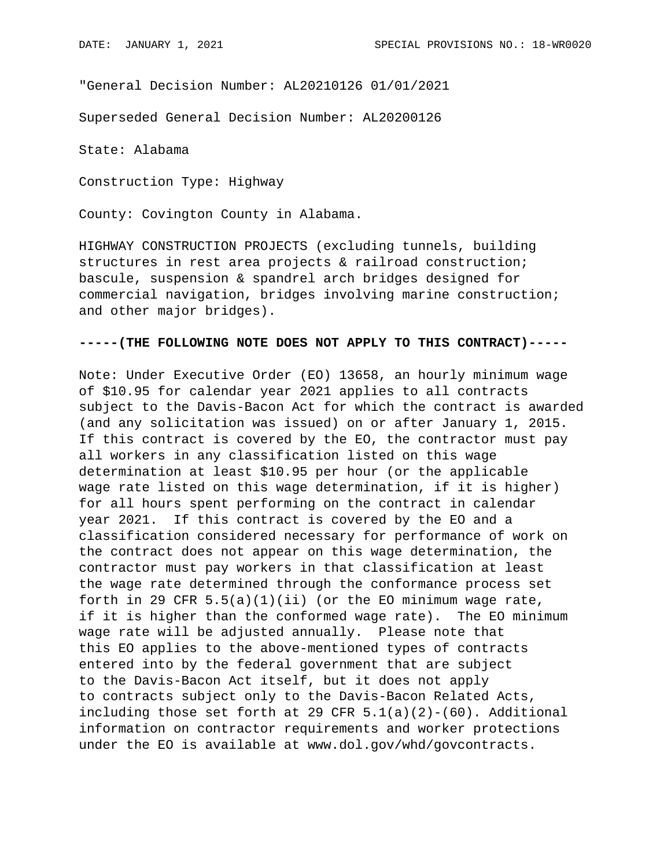"General Decision Number: AL20210126 01/01/2021

Superseded General Decision Number: AL20200126

State: Alabama

Construction Type: Highway

County: Covington County in Alabama.

HIGHWAY CONSTRUCTION PROJECTS (excluding tunnels, building structures in rest area projects & railroad construction; bascule, suspension & spandrel arch bridges designed for commercial navigation, bridges involving marine construction; and other major bridges).

## **-----(THE FOLLOWING NOTE DOES NOT APPLY TO THIS CONTRACT)-----**

Note: Under Executive Order (EO) 13658, an hourly minimum wage of \$10.95 for calendar year 2021 applies to all contracts subject to the Davis-Bacon Act for which the contract is awarded (and any solicitation was issued) on or after January 1, 2015. If this contract is covered by the EO, the contractor must pay all workers in any classification listed on this wage determination at least \$10.95 per hour (or the applicable wage rate listed on this wage determination, if it is higher) for all hours spent performing on the contract in calendar year 2021. If this contract is covered by the EO and a classification considered necessary for performance of work on the contract does not appear on this wage determination, the contractor must pay workers in that classification at least the wage rate determined through the conformance process set forth in 29 CFR  $5.5(a)(1)(ii)$  (or the EO minimum wage rate, if it is higher than the conformed wage rate). The EO minimum wage rate will be adjusted annually. Please note that this EO applies to the above-mentioned types of contracts entered into by the federal government that are subject to the Davis-Bacon Act itself, but it does not apply to contracts subject only to the Davis-Bacon Related Acts, including those set forth at 29 CFR  $5.1(a)(2)-(60)$ . Additional information on contractor requirements and worker protections under the EO is available at www.dol.gov/whd/govcontracts.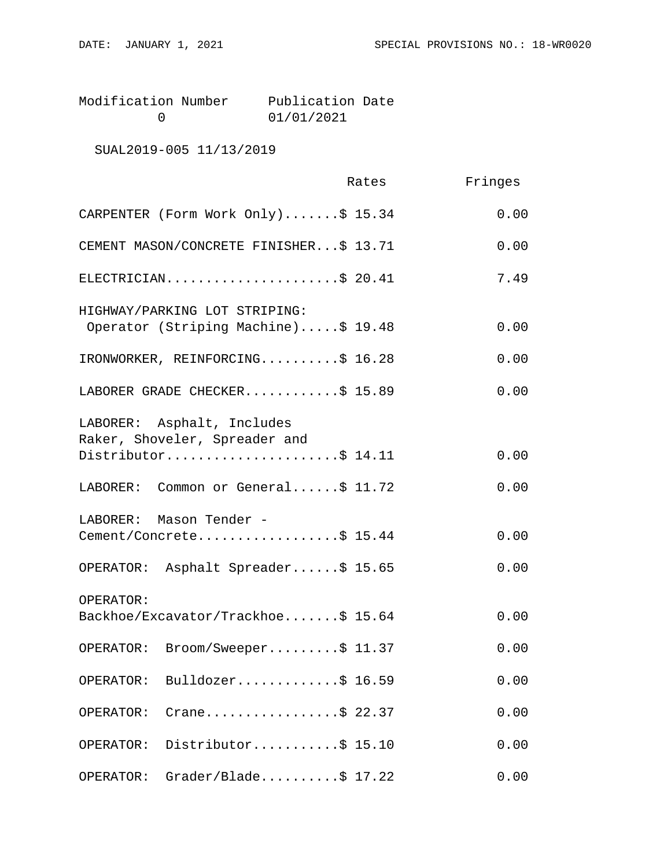| Modification Number | Publication Date |  |
|---------------------|------------------|--|
|                     | 01/01/2021       |  |

SUAL2019-005 11/13/2019

|                                                                                    | Rates | Fringes |
|------------------------------------------------------------------------------------|-------|---------|
| CARPENTER (Form Work Only)\$ 15.34                                                 |       | 0.00    |
| CEMENT MASON/CONCRETE FINISHER\$ 13.71                                             |       | 0.00    |
| ELECTRICIAN\$ 20.41                                                                |       | 7.49    |
| HIGHWAY/PARKING LOT STRIPING:<br>Operator (Striping Machine)\$ 19.48               |       | 0.00    |
| IRONWORKER, REINFORCING\$ 16.28                                                    |       | 0.00    |
| LABORER GRADE CHECKER\$ 15.89                                                      |       | 0.00    |
| LABORER: Asphalt, Includes<br>Raker, Shoveler, Spreader and<br>Distributor\$ 14.11 |       | 0.00    |
|                                                                                    |       |         |
| LABORER: Common or General\$ 11.72                                                 |       | 0.00    |
| LABORER: Mason Tender -<br>Cement/Concrete\$ 15.44                                 |       | 0.00    |
| OPERATOR: Asphalt Spreader\$ 15.65                                                 |       | 0.00    |
| OPERATOR:<br>Backhoe/Excavator/Trackhoe\$ 15.64                                    |       | 0.00    |
| OPERATOR: Broom/Sweeper\$ 11.37                                                    |       | 0.00    |
| Bulldozer\$ 16.59<br>OPERATOR:                                                     |       | 0.00    |
| Crane\$ 22.37<br>OPERATOR:                                                         |       | 0.00    |
| Distributor\$ 15.10<br>OPERATOR:                                                   |       | 0.00    |
| $Grade$ r/Blade\$ 17.22<br>OPERATOR:                                               |       | 0.00    |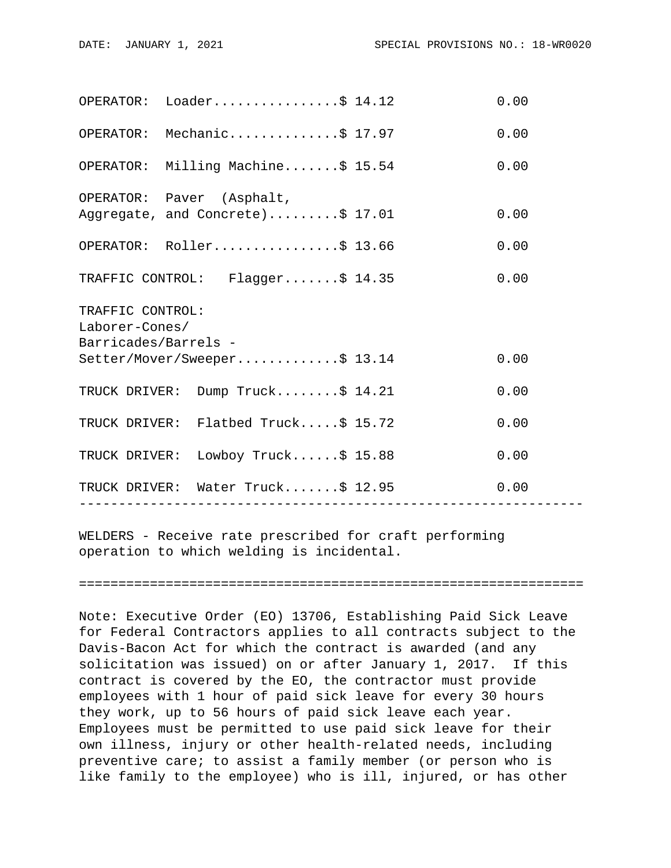|                                                            | $OPERATOR: Loader.$ 5 14.12                                   |                 | 0.00 |  |  |
|------------------------------------------------------------|---------------------------------------------------------------|-----------------|------|--|--|
|                                                            | OPERATOR: Mechanic\$ 17.97                                    |                 | 0.00 |  |  |
|                                                            | OPERATOR: Milling Machine\$ 15.54                             |                 | 0.00 |  |  |
|                                                            | OPERATOR: Paver (Asphalt,<br>Aggregate, and Concrete)\$ 17.01 |                 | 0.00 |  |  |
|                                                            | OPERATOR: Roller\$ 13.66                                      |                 | 0.00 |  |  |
|                                                            | TRAFFIC CONTROL: Flagger\$ 14.35                              |                 | 0.00 |  |  |
| TRAFFIC CONTROL:<br>Laborer-Cones/<br>Barricades/Barrels - |                                                               |                 |      |  |  |
|                                                            | Setter/Mover/Sweeper\$ 13.14                                  |                 | 0.00 |  |  |
|                                                            | TRUCK DRIVER: Dump Truck\$ 14.21                              |                 | 0.00 |  |  |
|                                                            | TRUCK DRIVER: Flatbed Truck\$ 15.72                           |                 | 0.00 |  |  |
|                                                            | TRUCK DRIVER: Lowboy Truck\$ 15.88                            |                 | 0.00 |  |  |
|                                                            | TRUCK DRIVER: Water Truck\$ 12.95<br>----------------         | --------------- | 0.00 |  |  |
|                                                            |                                                               |                 |      |  |  |

WELDERS - Receive rate prescribed for craft performing operation to which welding is incidental.

================================================================

Note: Executive Order (EO) 13706, Establishing Paid Sick Leave for Federal Contractors applies to all contracts subject to the Davis-Bacon Act for which the contract is awarded (and any solicitation was issued) on or after January 1, 2017. If this contract is covered by the EO, the contractor must provide employees with 1 hour of paid sick leave for every 30 hours they work, up to 56 hours of paid sick leave each year. Employees must be permitted to use paid sick leave for their own illness, injury or other health-related needs, including preventive care; to assist a family member (or person who is like family to the employee) who is ill, injured, or has other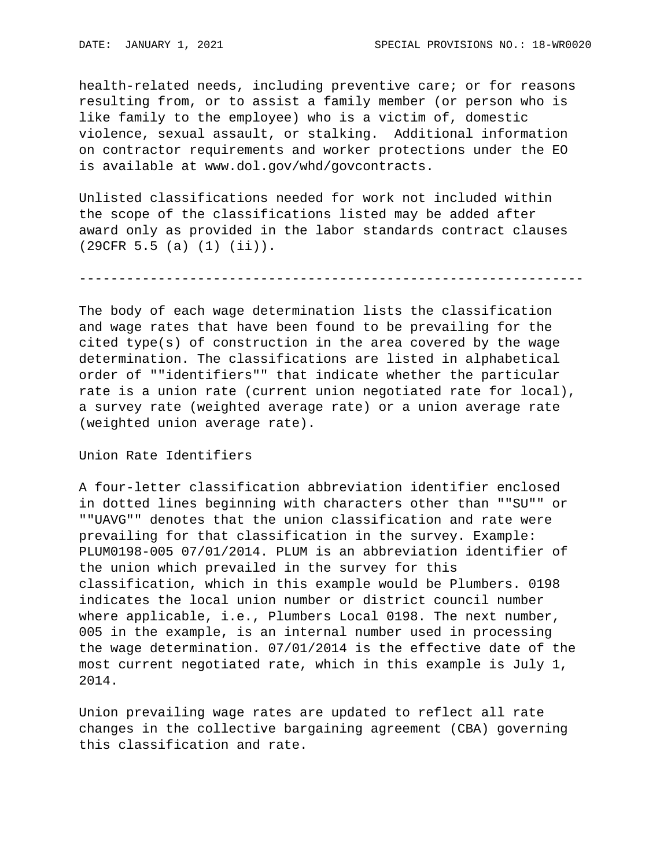health-related needs, including preventive care; or for reasons resulting from, or to assist a family member (or person who is like family to the employee) who is a victim of, domestic violence, sexual assault, or stalking. Additional information on contractor requirements and worker protections under the EO is available at www.dol.gov/whd/govcontracts.

Unlisted classifications needed for work not included within the scope of the classifications listed may be added after award only as provided in the labor standards contract clauses (29CFR 5.5 (a) (1) (ii)).

----------------------------------------------------------------

The body of each wage determination lists the classification and wage rates that have been found to be prevailing for the cited type(s) of construction in the area covered by the wage determination. The classifications are listed in alphabetical order of ""identifiers"" that indicate whether the particular rate is a union rate (current union negotiated rate for local), a survey rate (weighted average rate) or a union average rate (weighted union average rate).

Union Rate Identifiers

A four-letter classification abbreviation identifier enclosed in dotted lines beginning with characters other than ""SU"" or ""UAVG"" denotes that the union classification and rate were prevailing for that classification in the survey. Example: PLUM0198-005 07/01/2014. PLUM is an abbreviation identifier of the union which prevailed in the survey for this classification, which in this example would be Plumbers. 0198 indicates the local union number or district council number where applicable, i.e., Plumbers Local 0198. The next number, 005 in the example, is an internal number used in processing the wage determination. 07/01/2014 is the effective date of the most current negotiated rate, which in this example is July 1, 2014.

Union prevailing wage rates are updated to reflect all rate changes in the collective bargaining agreement (CBA) governing this classification and rate.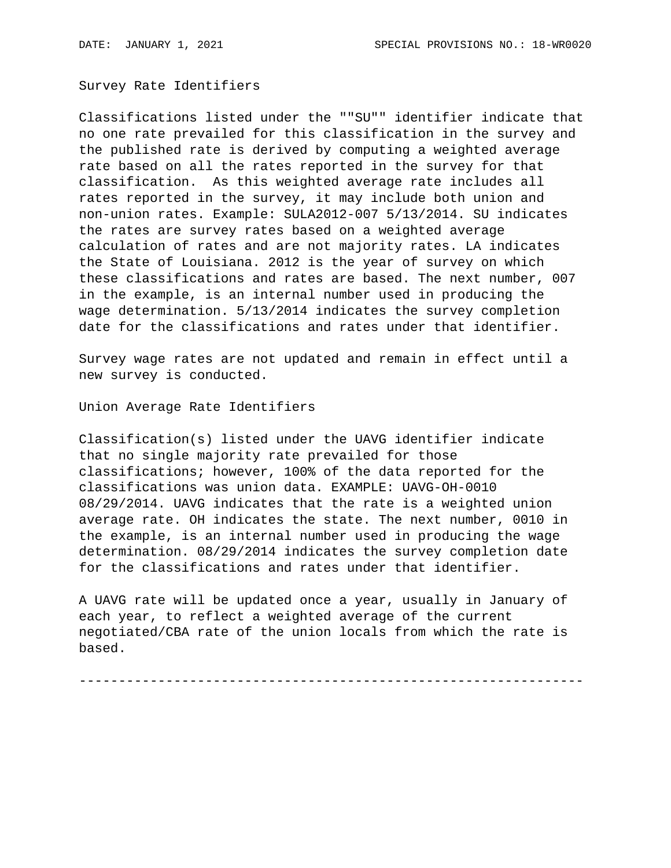Survey Rate Identifiers

Classifications listed under the ""SU"" identifier indicate that no one rate prevailed for this classification in the survey and the published rate is derived by computing a weighted average rate based on all the rates reported in the survey for that classification. As this weighted average rate includes all rates reported in the survey, it may include both union and non-union rates. Example: SULA2012-007 5/13/2014. SU indicates the rates are survey rates based on a weighted average calculation of rates and are not majority rates. LA indicates the State of Louisiana. 2012 is the year of survey on which these classifications and rates are based. The next number, 007 in the example, is an internal number used in producing the wage determination. 5/13/2014 indicates the survey completion date for the classifications and rates under that identifier.

Survey wage rates are not updated and remain in effect until a new survey is conducted.

Union Average Rate Identifiers

Classification(s) listed under the UAVG identifier indicate that no single majority rate prevailed for those classifications; however, 100% of the data reported for the classifications was union data. EXAMPLE: UAVG-OH-0010 08/29/2014. UAVG indicates that the rate is a weighted union average rate. OH indicates the state. The next number, 0010 in the example, is an internal number used in producing the wage determination. 08/29/2014 indicates the survey completion date for the classifications and rates under that identifier.

A UAVG rate will be updated once a year, usually in January of each year, to reflect a weighted average of the current negotiated/CBA rate of the union locals from which the rate is based.

----------------------------------------------------------------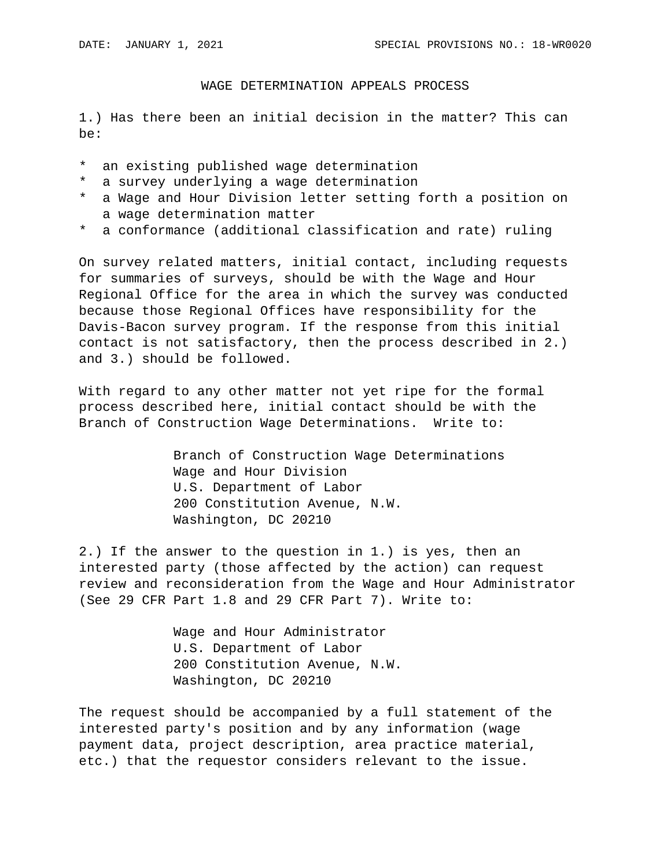## WAGE DETERMINATION APPEALS PROCESS

1.) Has there been an initial decision in the matter? This can be:

- \* an existing published wage determination
- \* a survey underlying a wage determination
- \* a Wage and Hour Division letter setting forth a position on a wage determination matter
- \* a conformance (additional classification and rate) ruling

On survey related matters, initial contact, including requests for summaries of surveys, should be with the Wage and Hour Regional Office for the area in which the survey was conducted because those Regional Offices have responsibility for the Davis-Bacon survey program. If the response from this initial contact is not satisfactory, then the process described in 2.) and 3.) should be followed.

With regard to any other matter not yet ripe for the formal process described here, initial contact should be with the Branch of Construction Wage Determinations. Write to:

> Branch of Construction Wage Determinations Wage and Hour Division U.S. Department of Labor 200 Constitution Avenue, N.W. Washington, DC 20210

2.) If the answer to the question in 1.) is yes, then an interested party (those affected by the action) can request review and reconsideration from the Wage and Hour Administrator (See 29 CFR Part 1.8 and 29 CFR Part 7). Write to:

> Wage and Hour Administrator U.S. Department of Labor 200 Constitution Avenue, N.W. Washington, DC 20210

The request should be accompanied by a full statement of the interested party's position and by any information (wage payment data, project description, area practice material, etc.) that the requestor considers relevant to the issue.